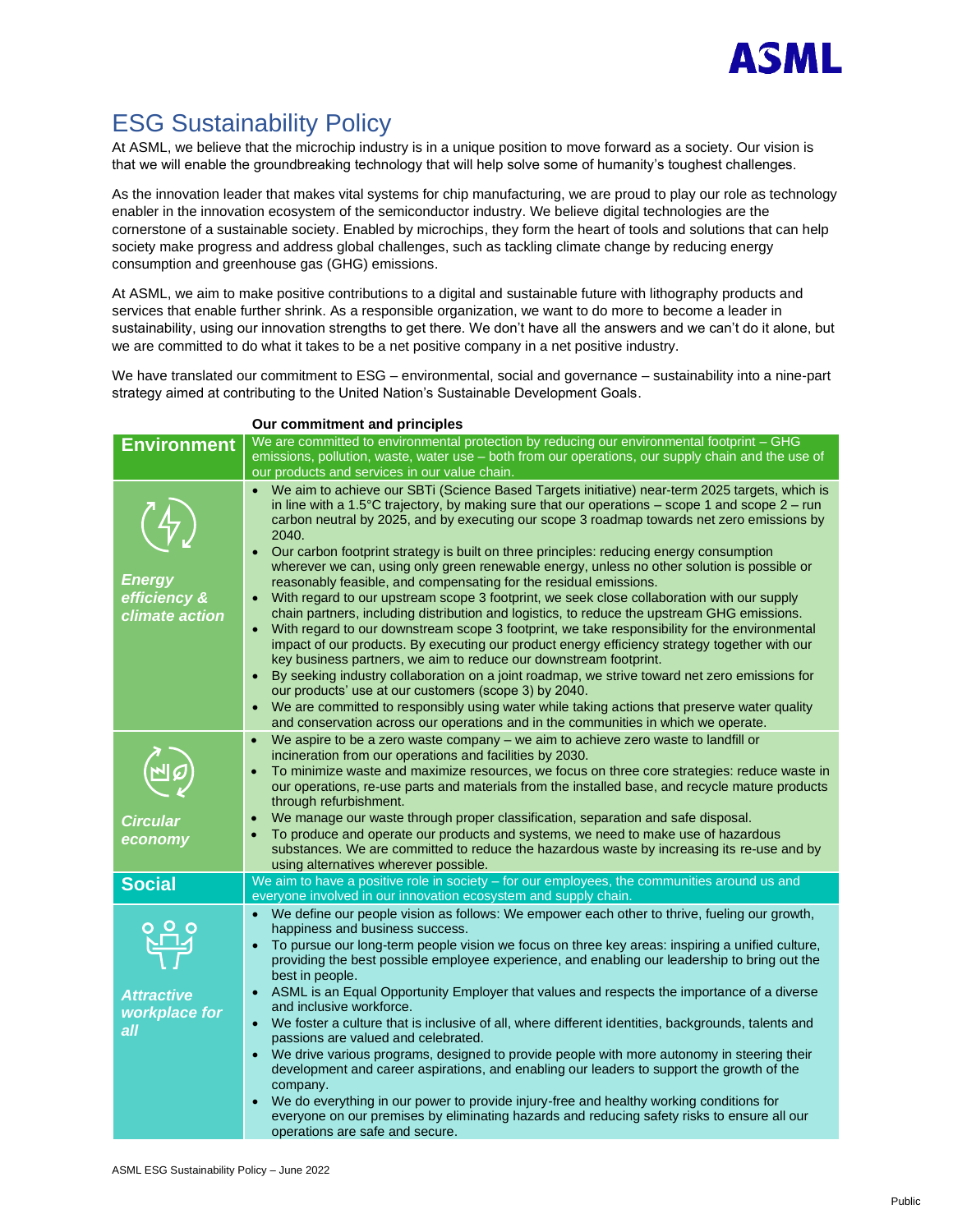

## ESG Sustainability Policy

At ASML, we believe that the microchip industry is in a unique position to move forward as a society. Our vision is that we will enable the groundbreaking technology that will help solve some of humanity's toughest challenges.

As the innovation leader that makes vital systems for chip manufacturing, we are proud to play our role as technology enabler in the innovation ecosystem of the semiconductor industry. We believe digital technologies are the cornerstone of a sustainable society. Enabled by microchips, they form the heart of tools and solutions that can help society make progress and address global challenges, such as tackling climate change by reducing energy consumption and greenhouse gas (GHG) emissions.

At ASML, we aim to make positive contributions to a digital and sustainable future with lithography products and services that enable further shrink. As a responsible organization, we want to do more to become a leader in sustainability, using our innovation strengths to get there. We don't have all the answers and we can't do it alone, but we are committed to do what it takes to be a net positive company in a net positive industry.

We have translated our commitment to ESG – environmental, social and governance – sustainability into a nine-part strategy aimed at contributing to the United Nation's Sustainable Development Goals.

| <b>Environment</b>                 | We are committed to environmental protection by reducing our environmental footprint - GHG                                                                                                                                                                                                                                                                                                                                                                                                                                  |
|------------------------------------|-----------------------------------------------------------------------------------------------------------------------------------------------------------------------------------------------------------------------------------------------------------------------------------------------------------------------------------------------------------------------------------------------------------------------------------------------------------------------------------------------------------------------------|
|                                    | emissions, pollution, waste, water use - both from our operations, our supply chain and the use of                                                                                                                                                                                                                                                                                                                                                                                                                          |
|                                    | our products and services in our value chain.                                                                                                                                                                                                                                                                                                                                                                                                                                                                               |
|                                    | • We aim to achieve our SBTi (Science Based Targets initiative) near-term 2025 targets, which is<br>in line with a 1.5 $\degree$ C trajectory, by making sure that our operations – scope 1 and scope 2 – run<br>carbon neutral by 2025, and by executing our scope 3 roadmap towards net zero emissions by<br>2040.<br>Our carbon footprint strategy is built on three principles: reducing energy consumption<br>$\bullet$<br>wherever we can, using only green renewable energy, unless no other solution is possible or |
| Energy                             | reasonably feasible, and compensating for the residual emissions.                                                                                                                                                                                                                                                                                                                                                                                                                                                           |
| efficiency &                       | With regard to our upstream scope 3 footprint, we seek close collaboration with our supply<br>$\bullet$                                                                                                                                                                                                                                                                                                                                                                                                                     |
| climate action                     | chain partners, including distribution and logistics, to reduce the upstream GHG emissions.<br>With regard to our downstream scope 3 footprint, we take responsibility for the environmental<br>$\bullet$<br>impact of our products. By executing our product energy efficiency strategy together with our<br>key business partners, we aim to reduce our downstream footprint.                                                                                                                                             |
|                                    | By seeking industry collaboration on a joint roadmap, we strive toward net zero emissions for<br>$\bullet$<br>our products' use at our customers (scope 3) by 2040.                                                                                                                                                                                                                                                                                                                                                         |
|                                    | We are committed to responsibly using water while taking actions that preserve water quality<br>$\bullet$<br>and conservation across our operations and in the communities in which we operate.                                                                                                                                                                                                                                                                                                                             |
|                                    | We aspire to be a zero waste company – we aim to achieve zero waste to landfill or<br>$\bullet$                                                                                                                                                                                                                                                                                                                                                                                                                             |
|                                    | incineration from our operations and facilities by 2030.                                                                                                                                                                                                                                                                                                                                                                                                                                                                    |
|                                    | To minimize waste and maximize resources, we focus on three core strategies: reduce waste in<br>$\bullet$<br>our operations, re-use parts and materials from the installed base, and recycle mature products<br>through refurbishment.                                                                                                                                                                                                                                                                                      |
| <b>Circular</b>                    | We manage our waste through proper classification, separation and safe disposal.<br>$\bullet$                                                                                                                                                                                                                                                                                                                                                                                                                               |
| economy                            | To produce and operate our products and systems, we need to make use of hazardous<br>$\bullet$<br>substances. We are committed to reduce the hazardous waste by increasing its re-use and by<br>using alternatives wherever possible.                                                                                                                                                                                                                                                                                       |
| <b>Social</b>                      | We aim to have a positive role in society - for our employees, the communities around us and                                                                                                                                                                                                                                                                                                                                                                                                                                |
|                                    | everyone involved in our innovation ecosystem and supply chain.                                                                                                                                                                                                                                                                                                                                                                                                                                                             |
|                                    | • We define our people vision as follows: We empower each other to thrive, fueling our growth,<br>happiness and business success.                                                                                                                                                                                                                                                                                                                                                                                           |
|                                    | To pursue our long-term people vision we focus on three key areas: inspiring a unified culture,<br>$\bullet$<br>providing the best possible employee experience, and enabling our leadership to bring out the<br>best in people.                                                                                                                                                                                                                                                                                            |
| <b>Attractive</b><br>workplace for | ASML is an Equal Opportunity Employer that values and respects the importance of a diverse<br>$\bullet$<br>and inclusive workforce.                                                                                                                                                                                                                                                                                                                                                                                         |
| all                                | We foster a culture that is inclusive of all, where different identities, backgrounds, talents and<br>$\bullet$<br>passions are valued and celebrated.                                                                                                                                                                                                                                                                                                                                                                      |
|                                    | We drive various programs, designed to provide people with more autonomy in steering their<br>$\bullet$<br>development and career aspirations, and enabling our leaders to support the growth of the<br>company.                                                                                                                                                                                                                                                                                                            |
|                                    | We do everything in our power to provide injury-free and healthy working conditions for<br>$\bullet$<br>everyone on our premises by eliminating hazards and reducing safety risks to ensure all our                                                                                                                                                                                                                                                                                                                         |
|                                    | operations are safe and secure.                                                                                                                                                                                                                                                                                                                                                                                                                                                                                             |

## **Our commitment and principles**